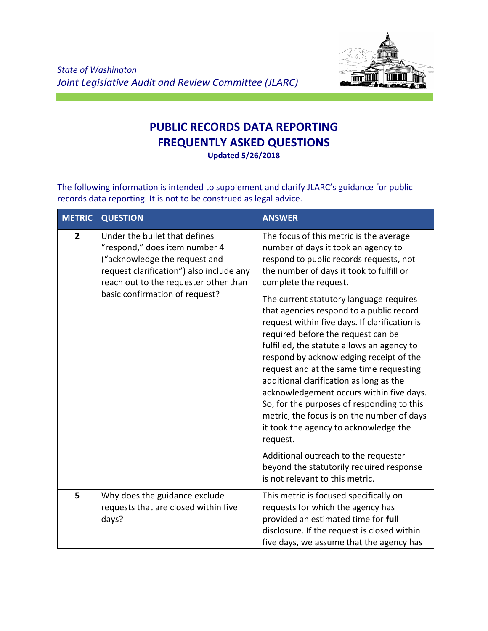

## **PUBLIC RECORDS DATA REPORTING FREQUENTLY ASKED QUESTIONS Updated 5/26/2018**

The following information is intended to supplement and clarify JLARC's guidance for public records data reporting. It is not to be construed as legal advice.

| <b>METRIC</b>  | <b>QUESTION</b>                                                                                                                                                                                                        | <b>ANSWER</b>                                                                                                                                                                                                                                                                                                                                                                                                                                                                                                                                                                                                                                                                                                                                            |
|----------------|------------------------------------------------------------------------------------------------------------------------------------------------------------------------------------------------------------------------|----------------------------------------------------------------------------------------------------------------------------------------------------------------------------------------------------------------------------------------------------------------------------------------------------------------------------------------------------------------------------------------------------------------------------------------------------------------------------------------------------------------------------------------------------------------------------------------------------------------------------------------------------------------------------------------------------------------------------------------------------------|
| $\overline{2}$ | Under the bullet that defines<br>"respond," does item number 4<br>("acknowledge the request and<br>request clarification") also include any<br>reach out to the requester other than<br>basic confirmation of request? | The focus of this metric is the average<br>number of days it took an agency to<br>respond to public records requests, not<br>the number of days it took to fulfill or<br>complete the request.<br>The current statutory language requires<br>that agencies respond to a public record<br>request within five days. If clarification is<br>required before the request can be<br>fulfilled, the statute allows an agency to<br>respond by acknowledging receipt of the<br>request and at the same time requesting<br>additional clarification as long as the<br>acknowledgement occurs within five days.<br>So, for the purposes of responding to this<br>metric, the focus is on the number of days<br>it took the agency to acknowledge the<br>request. |
|                |                                                                                                                                                                                                                        | Additional outreach to the requester<br>beyond the statutorily required response<br>is not relevant to this metric.                                                                                                                                                                                                                                                                                                                                                                                                                                                                                                                                                                                                                                      |
| 5              | Why does the guidance exclude<br>requests that are closed within five<br>days?                                                                                                                                         | This metric is focused specifically on<br>requests for which the agency has<br>provided an estimated time for full<br>disclosure. If the request is closed within<br>five days, we assume that the agency has                                                                                                                                                                                                                                                                                                                                                                                                                                                                                                                                            |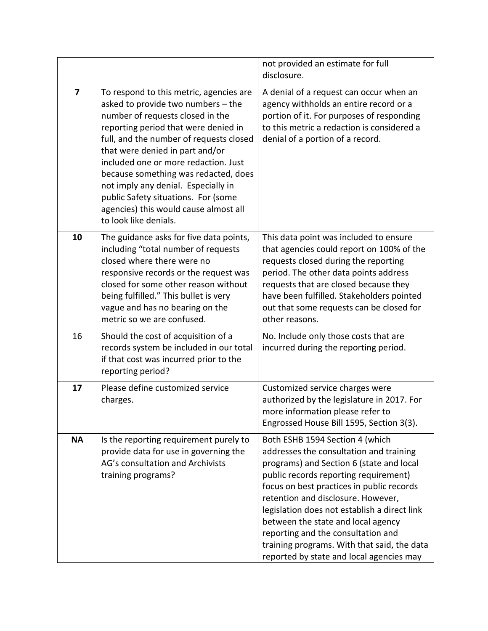|                         |                                                                                                                                                                                                                                                                                                                                                                                                                                                                         | not provided an estimate for full<br>disclosure.                                                                                                                                                                                                                                                                                                                                                                                                                          |
|-------------------------|-------------------------------------------------------------------------------------------------------------------------------------------------------------------------------------------------------------------------------------------------------------------------------------------------------------------------------------------------------------------------------------------------------------------------------------------------------------------------|---------------------------------------------------------------------------------------------------------------------------------------------------------------------------------------------------------------------------------------------------------------------------------------------------------------------------------------------------------------------------------------------------------------------------------------------------------------------------|
| $\overline{\mathbf{z}}$ | To respond to this metric, agencies are<br>asked to provide two numbers - the<br>number of requests closed in the<br>reporting period that were denied in<br>full, and the number of requests closed<br>that were denied in part and/or<br>included one or more redaction. Just<br>because something was redacted, does<br>not imply any denial. Especially in<br>public Safety situations. For (some<br>agencies) this would cause almost all<br>to look like denials. | A denial of a request can occur when an<br>agency withholds an entire record or a<br>portion of it. For purposes of responding<br>to this metric a redaction is considered a<br>denial of a portion of a record.                                                                                                                                                                                                                                                          |
| 10                      | The guidance asks for five data points,<br>including "total number of requests<br>closed where there were no<br>responsive records or the request was<br>closed for some other reason without<br>being fulfilled." This bullet is very<br>vague and has no bearing on the<br>metric so we are confused.                                                                                                                                                                 | This data point was included to ensure<br>that agencies could report on 100% of the<br>requests closed during the reporting<br>period. The other data points address<br>requests that are closed because they<br>have been fulfilled. Stakeholders pointed<br>out that some requests can be closed for<br>other reasons.                                                                                                                                                  |
| 16                      | Should the cost of acquisition of a<br>records system be included in our total<br>if that cost was incurred prior to the<br>reporting period?                                                                                                                                                                                                                                                                                                                           | No. Include only those costs that are<br>incurred during the reporting period.                                                                                                                                                                                                                                                                                                                                                                                            |
| 17                      | Please define customized service<br>charges.                                                                                                                                                                                                                                                                                                                                                                                                                            | Customized service charges were<br>authorized by the legislature in 2017. For<br>more information please refer to<br>Engrossed House Bill 1595, Section 3(3).                                                                                                                                                                                                                                                                                                             |
| <b>NA</b>               | Is the reporting requirement purely to<br>provide data for use in governing the<br>AG's consultation and Archivists<br>training programs?                                                                                                                                                                                                                                                                                                                               | Both ESHB 1594 Section 4 (which<br>addresses the consultation and training<br>programs) and Section 6 (state and local<br>public records reporting requirement)<br>focus on best practices in public records<br>retention and disclosure. However,<br>legislation does not establish a direct link<br>between the state and local agency<br>reporting and the consultation and<br>training programs. With that said, the data<br>reported by state and local agencies may |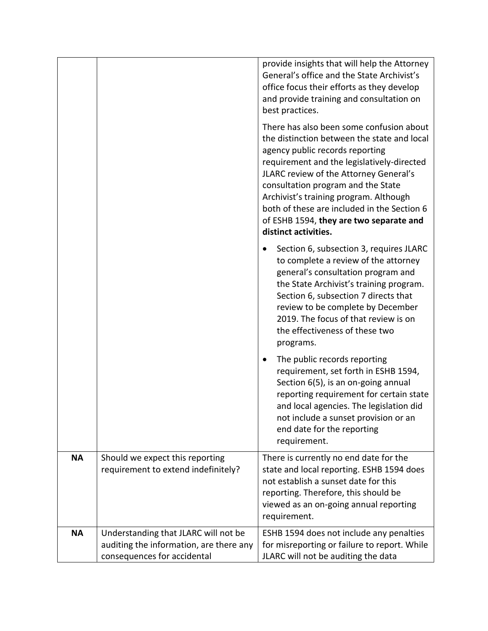|           |                                                                                                                | provide insights that will help the Attorney<br>General's office and the State Archivist's<br>office focus their efforts as they develop<br>and provide training and consultation on<br>best practices.<br>There has also been some confusion about<br>the distinction between the state and local<br>agency public records reporting<br>requirement and the legislatively-directed<br>JLARC review of the Attorney General's<br>consultation program and the State<br>Archivist's training program. Although<br>both of these are included in the Section 6<br>of ESHB 1594, they are two separate and<br>distinct activities. |
|-----------|----------------------------------------------------------------------------------------------------------------|---------------------------------------------------------------------------------------------------------------------------------------------------------------------------------------------------------------------------------------------------------------------------------------------------------------------------------------------------------------------------------------------------------------------------------------------------------------------------------------------------------------------------------------------------------------------------------------------------------------------------------|
|           |                                                                                                                | Section 6, subsection 3, requires JLARC<br>to complete a review of the attorney<br>general's consultation program and<br>the State Archivist's training program.<br>Section 6, subsection 7 directs that<br>review to be complete by December<br>2019. The focus of that review is on<br>the effectiveness of these two<br>programs.                                                                                                                                                                                                                                                                                            |
|           |                                                                                                                | The public records reporting<br>٠<br>requirement, set forth in ESHB 1594,<br>Section 6(5), is an on-going annual<br>reporting requirement for certain state<br>and local agencies. The legislation did<br>not include a sunset provision or an<br>end date for the reporting<br>requirement.                                                                                                                                                                                                                                                                                                                                    |
| <b>NA</b> | Should we expect this reporting<br>requirement to extend indefinitely?                                         | There is currently no end date for the<br>state and local reporting. ESHB 1594 does<br>not establish a sunset date for this<br>reporting. Therefore, this should be<br>viewed as an on-going annual reporting<br>requirement.                                                                                                                                                                                                                                                                                                                                                                                                   |
| <b>NA</b> | Understanding that JLARC will not be<br>auditing the information, are there any<br>consequences for accidental | ESHB 1594 does not include any penalties<br>for misreporting or failure to report. While<br>JLARC will not be auditing the data                                                                                                                                                                                                                                                                                                                                                                                                                                                                                                 |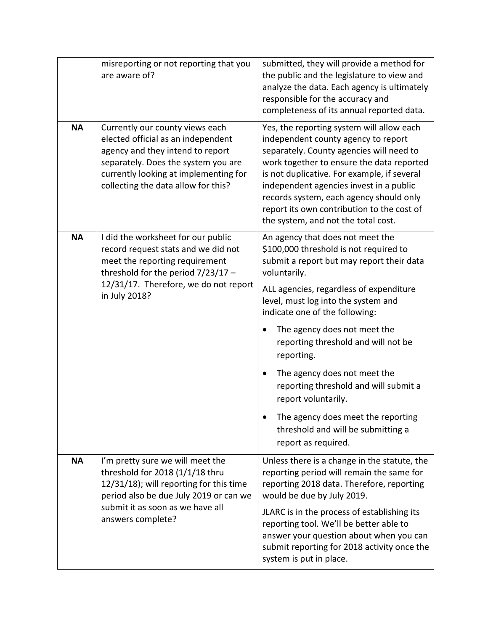|                                                                                                 | misreporting or not reporting that you<br>are aware of?                                                                                                                                                                                   | submitted, they will provide a method for<br>the public and the legislature to view and<br>analyze the data. Each agency is ultimately<br>responsible for the accuracy and<br>completeness of its annual reported data.                                                                                                                                                                                                                                                                                                      |
|-------------------------------------------------------------------------------------------------|-------------------------------------------------------------------------------------------------------------------------------------------------------------------------------------------------------------------------------------------|------------------------------------------------------------------------------------------------------------------------------------------------------------------------------------------------------------------------------------------------------------------------------------------------------------------------------------------------------------------------------------------------------------------------------------------------------------------------------------------------------------------------------|
| <b>NA</b>                                                                                       | Currently our county views each<br>elected official as an independent<br>agency and they intend to report<br>separately. Does the system you are<br>currently looking at implementing for<br>collecting the data allow for this?          | Yes, the reporting system will allow each<br>independent county agency to report<br>separately. County agencies will need to<br>work together to ensure the data reported<br>is not duplicative. For example, if several<br>independent agencies invest in a public<br>records system, each agency should only<br>report its own contribution to the cost of<br>the system, and not the total cost.                                                                                                                          |
| <b>NA</b>                                                                                       | I did the worksheet for our public<br>record request stats and we did not<br>meet the reporting requirement<br>threshold for the period $7/23/17$ -<br>12/31/17. Therefore, we do not report<br>in July 2018?                             | An agency that does not meet the<br>\$100,000 threshold is not required to<br>submit a report but may report their data<br>voluntarily.<br>ALL agencies, regardless of expenditure<br>level, must log into the system and<br>indicate one of the following:<br>The agency does not meet the<br>reporting threshold and will not be<br>reporting.<br>The agency does not meet the<br>reporting threshold and will submit a<br>report voluntarily.<br>The agency does meet the reporting<br>threshold and will be submitting a |
| <b>NA</b>                                                                                       | I'm pretty sure we will meet the<br>threshold for 2018 (1/1/18 thru<br>12/31/18); will reporting for this time                                                                                                                            | report as required.<br>Unless there is a change in the statute, the<br>reporting period will remain the same for<br>reporting 2018 data. Therefore, reporting                                                                                                                                                                                                                                                                                                                                                                |
| period also be due July 2019 or can we<br>submit it as soon as we have all<br>answers complete? | would be due by July 2019.<br>JLARC is in the process of establishing its<br>reporting tool. We'll be better able to<br>answer your question about when you can<br>submit reporting for 2018 activity once the<br>system is put in place. |                                                                                                                                                                                                                                                                                                                                                                                                                                                                                                                              |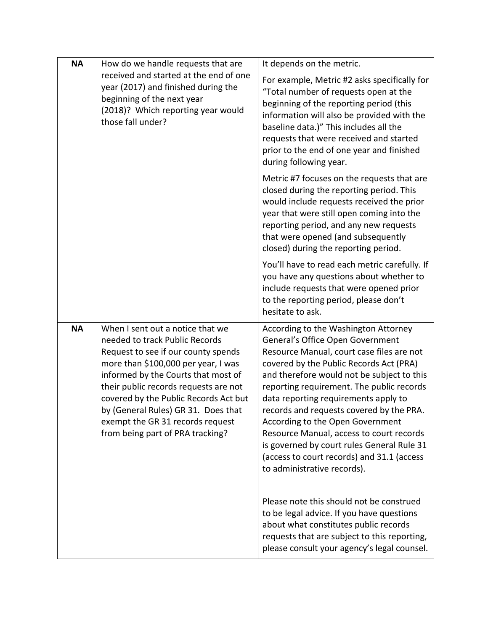| <b>NA</b> | How do we handle requests that are<br>received and started at the end of one<br>year (2017) and finished during the<br>beginning of the next year<br>(2018)? Which reporting year would<br>those fall under?                                                                                                                                                                             | It depends on the metric.<br>For example, Metric #2 asks specifically for<br>"Total number of requests open at the<br>beginning of the reporting period (this<br>information will also be provided with the<br>baseline data.)" This includes all the<br>requests that were received and started<br>prior to the end of one year and finished<br>during following year.                                                                                                                                                                                    |
|-----------|------------------------------------------------------------------------------------------------------------------------------------------------------------------------------------------------------------------------------------------------------------------------------------------------------------------------------------------------------------------------------------------|------------------------------------------------------------------------------------------------------------------------------------------------------------------------------------------------------------------------------------------------------------------------------------------------------------------------------------------------------------------------------------------------------------------------------------------------------------------------------------------------------------------------------------------------------------|
|           |                                                                                                                                                                                                                                                                                                                                                                                          | Metric #7 focuses on the requests that are<br>closed during the reporting period. This<br>would include requests received the prior<br>year that were still open coming into the<br>reporting period, and any new requests<br>that were opened (and subsequently<br>closed) during the reporting period.                                                                                                                                                                                                                                                   |
|           |                                                                                                                                                                                                                                                                                                                                                                                          | You'll have to read each metric carefully. If<br>you have any questions about whether to<br>include requests that were opened prior<br>to the reporting period, please don't<br>hesitate to ask.                                                                                                                                                                                                                                                                                                                                                           |
| <b>NA</b> | When I sent out a notice that we<br>needed to track Public Records<br>Request to see if our county spends<br>more than \$100,000 per year, I was<br>informed by the Courts that most of<br>their public records requests are not<br>covered by the Public Records Act but<br>by (General Rules) GR 31. Does that<br>exempt the GR 31 records request<br>from being part of PRA tracking? | According to the Washington Attorney<br>General's Office Open Government<br>Resource Manual, court case files are not<br>covered by the Public Records Act (PRA)<br>and therefore would not be subject to this<br>reporting requirement. The public records<br>data reporting requirements apply to<br>records and requests covered by the PRA.<br>According to the Open Government<br>Resource Manual, access to court records<br>is governed by court rules General Rule 31<br>(access to court records) and 31.1 (access<br>to administrative records). |
|           |                                                                                                                                                                                                                                                                                                                                                                                          | Please note this should not be construed<br>to be legal advice. If you have questions<br>about what constitutes public records<br>requests that are subject to this reporting,<br>please consult your agency's legal counsel.                                                                                                                                                                                                                                                                                                                              |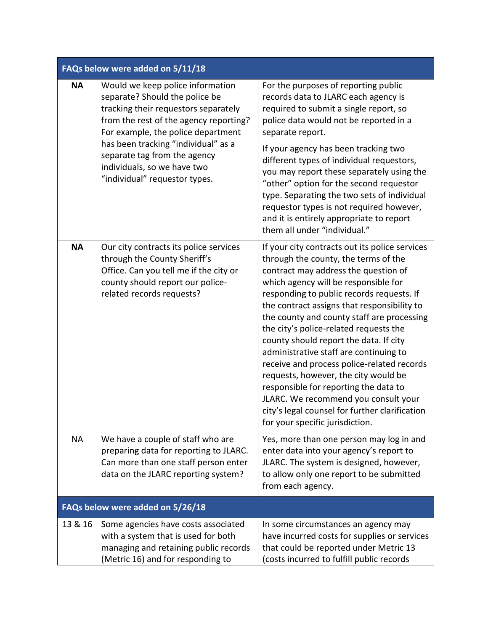| FAQs below were added on 5/11/18 |                                                                                                                                                                                                                                                                                                                                   |                                                                                                                                                                                                                                                                                                                                                                                                                                                                                                                                                                                                                                                                                                            |
|----------------------------------|-----------------------------------------------------------------------------------------------------------------------------------------------------------------------------------------------------------------------------------------------------------------------------------------------------------------------------------|------------------------------------------------------------------------------------------------------------------------------------------------------------------------------------------------------------------------------------------------------------------------------------------------------------------------------------------------------------------------------------------------------------------------------------------------------------------------------------------------------------------------------------------------------------------------------------------------------------------------------------------------------------------------------------------------------------|
| <b>NA</b>                        | Would we keep police information<br>separate? Should the police be<br>tracking their requestors separately<br>from the rest of the agency reporting?<br>For example, the police department<br>has been tracking "individual" as a<br>separate tag from the agency<br>individuals, so we have two<br>"individual" requestor types. | For the purposes of reporting public<br>records data to JLARC each agency is<br>required to submit a single report, so<br>police data would not be reported in a<br>separate report.<br>If your agency has been tracking two<br>different types of individual requestors,<br>you may report these separately using the<br>"other" option for the second requestor<br>type. Separating the two sets of individual<br>requestor types is not required however,<br>and it is entirely appropriate to report<br>them all under "individual."                                                                                                                                                                   |
| <b>NA</b>                        | Our city contracts its police services<br>through the County Sheriff's<br>Office. Can you tell me if the city or<br>county should report our police-<br>related records requests?                                                                                                                                                 | If your city contracts out its police services<br>through the county, the terms of the<br>contract may address the question of<br>which agency will be responsible for<br>responding to public records requests. If<br>the contract assigns that responsibility to<br>the county and county staff are processing<br>the city's police-related requests the<br>county should report the data. If city<br>administrative staff are continuing to<br>receive and process police-related records<br>requests, however, the city would be<br>responsible for reporting the data to<br>JLARC. We recommend you consult your<br>city's legal counsel for further clarification<br>for your specific jurisdiction. |
| <b>NA</b>                        | We have a couple of staff who are<br>preparing data for reporting to JLARC.<br>Can more than one staff person enter<br>data on the JLARC reporting system?                                                                                                                                                                        | Yes, more than one person may log in and<br>enter data into your agency's report to<br>JLARC. The system is designed, however,<br>to allow only one report to be submitted<br>from each agency.                                                                                                                                                                                                                                                                                                                                                                                                                                                                                                            |
|                                  | FAQs below were added on 5/26/18                                                                                                                                                                                                                                                                                                  |                                                                                                                                                                                                                                                                                                                                                                                                                                                                                                                                                                                                                                                                                                            |
| 13 & 16                          | Some agencies have costs associated<br>with a system that is used for both<br>managing and retaining public records<br>(Metric 16) and for responding to                                                                                                                                                                          | In some circumstances an agency may<br>have incurred costs for supplies or services<br>that could be reported under Metric 13<br>(costs incurred to fulfill public records                                                                                                                                                                                                                                                                                                                                                                                                                                                                                                                                 |